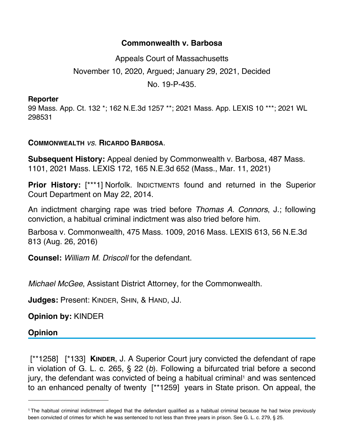## **Commonwealth v. Barbosa**

Appeals Court of Massachusetts November 10, 2020, Argued; January 29, 2021, Decided No. 19-P-435.

## **Reporter**

99 Mass. App. Ct. 132 \*; 162 N.E.3d 1257 \*\*; 2021 Mass. App. LEXIS 10 \*\*\*; 2021 WL 298531

## **COMMONWEALTH** *vs*. **RICARDO BARBOSA**.

**Subsequent History:** Appeal denied by Commonwealth v. Barbosa, 487 Mass. 1101, 2021 Mass. LEXIS 172, 165 N.E.3d 652 (Mass., Mar. 11, 2021)

**Prior History:** [\*\*\*1] Norfolk. INDICTMENTS found and returned in the Superior Court Department on May 22, 2014.

An indictment charging rape was tried before *Thomas A. Connors*, J.; following conviction, a habitual criminal indictment was also tried before him.

Barbosa v. Commonwealth, 475 Mass. 1009, 2016 Mass. LEXIS 613, 56 N.E.3d 813 (Aug. 26, 2016)

**Counsel:** *William M. Driscoll* for the defendant.

*Michael McGee*, Assistant District Attorney, for the Commonwealth.

**Judges:** Present: KINDER, SHIN, & HAND, JJ.

**Opinion by:** KINDER

## **Opinion**

 [\*\*1258] [\*133] **KINDER**, J. A Superior Court jury convicted the defendant of rape in violation of G. L. c. 265, § 22 (*b*). Following a bifurcated trial before a second jury, the defendant was convicted of being a habitual criminal<sup>1</sup> and was sentenced to an enhanced penalty of twenty [\*\*1259] years in State prison. On appeal, the

<sup>1</sup> The habitual criminal indictment alleged that the defendant qualified as a habitual criminal because he had twice previously been convicted of crimes for which he was sentenced to not less than three years in prison. See G. L. c. 279, § 25.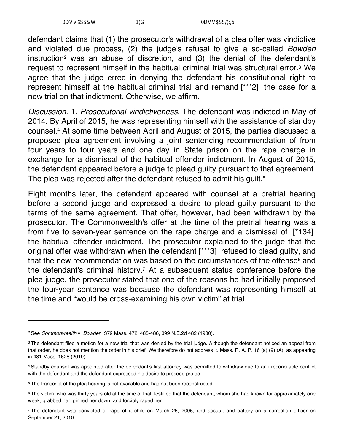defendant claims that (1) the prosecutor's withdrawal of a plea offer was vindictive and violated due process, (2) the judge's refusal to give a so-called *Bowden* instruction<sup>2</sup> was an abuse of discretion, and (3) the denial of the defendant's request to represent himself in the habitual criminal trial was structural error.3 We agree that the judge erred in denying the defendant his constitutional right to represent himself at the habitual criminal trial and remand [\*\*\*2] the case for a new trial on that indictment. Otherwise, we affirm.

*Discussion*. 1. *Prosecutorial vindictiveness*. The defendant was indicted in May of 2014. By April of 2015, he was representing himself with the assistance of standby counsel.4 At some time between April and August of 2015, the parties discussed a proposed plea agreement involving a joint sentencing recommendation of from four years to four years and one day in State prison on the rape charge in exchange for a dismissal of the habitual offender indictment. In August of 2015, the defendant appeared before a judge to plead guilty pursuant to that agreement. The plea was rejected after the defendant refused to admit his guilt.<sup>5</sup>

Eight months later, the defendant appeared with counsel at a pretrial hearing before a second judge and expressed a desire to plead guilty pursuant to the terms of the same agreement. That offer, however, had been withdrawn by the prosecutor. The Commonwealth's offer at the time of the pretrial hearing was a from five to seven-year sentence on the rape charge and a dismissal of [\*134] the habitual offender indictment. The prosecutor explained to the judge that the original offer was withdrawn when the defendant [\*\*\*3] refused to plead guilty, and that the new recommendation was based on the circumstances of the offense $6$  and the defendant's criminal history.7 At a subsequent status conference before the plea judge, the prosecutor stated that one of the reasons he had initially proposed the four-year sentence was because the defendant was representing himself at the time and "would be cross-examining his own victim" at trial.

<sup>2</sup> See *Commonwealth* v. *Bowden*, 379 Mass. 472, 485-486, 399 N.E.2d 482 (1980).

<sup>&</sup>lt;sup>3</sup> The defendant filed a motion for a new trial that was denied by the trial judge. Although the defendant noticed an appeal from that order, he does not mention the order in his brief. We therefore do not address it. Mass. R. A. P. 16 (a) (9) (A), as appearing in 481 Mass. 1628 (2019).

<sup>4</sup> Standby counsel was appointed after the defendant's first attorney was permitted to withdraw due to an irreconcilable conflict with the defendant and the defendant expressed his desire to proceed pro se.

<sup>5</sup> The transcript of the plea hearing is not available and has not been reconstructed.

 $6$  The victim, who was thirty years old at the time of trial, testified that the defendant, whom she had known for approximately one week, grabbed her, pinned her down, and forcibly raped her.

<sup>7</sup> The defendant was convicted of rape of a child on March 25, 2005, and assault and battery on a correction officer on September 21, 2010.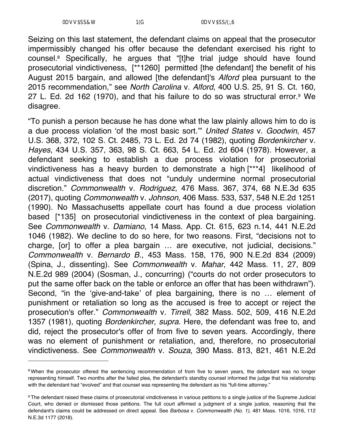Seizing on this last statement, the defendant claims on appeal that the prosecutor impermissibly changed his offer because the defendant exercised his right to counsel.8 Specifically, he argues that "[t]he trial judge should have found prosecutorial vindictiveness, [\*\*1260] permitted [the defendant] the benefit of his August 2015 bargain, and allowed [the defendant]'s *Alford* plea pursuant to the 2015 recommendation," see *North Carolina* v. *Alford*, 400 U.S. 25, 91 S. Ct. 160, 27 L. Ed. 2d 162 (1970), and that his failure to do so was structural error.9 We disagree.

"To punish a person because he has done what the law plainly allows him to do is a due process violation 'of the most basic sort.'" *United States* v. *Goodwin*, 457 U.S. 368, 372, 102 S. Ct. 2485, 73 L. Ed. 2d 74 (1982), quoting *Bordenkircher* v. *Hayes*, 434 U.S. 357, 363, 98 S. Ct. 663, 54 L. Ed. 2d 604 (1978). However, a defendant seeking to establish a due process violation for prosecutorial vindictiveness has a heavy burden to demonstrate a high [\*\*\*4] likelihood of actual vindictiveness that does not "unduly undermine normal prosecutorial discretion." *Commonwealth* v. *Rodriguez*, 476 Mass. 367, 374, 68 N.E.3d 635 (2017), quoting *Commonwealth* v. *Johnson*, 406 Mass. 533, 537, 548 N.E.2d 1251 (1990). No Massachusetts appellate court has found a due process violation based [\*135] on prosecutorial vindictiveness in the context of plea bargaining. See *Commonwealth* v. *Damiano*, 14 Mass. App. Ct. 615, 623 n.14, 441 N.E.2d 1046 (1982). We decline to do so here, for two reasons. First, "decisions not to charge, [or] to offer a plea bargain … are executive, not judicial, decisions." *Commonwealth* v. *Bernardo B.*, 453 Mass. 158, 176, 900 N.E.2d 834 (2009) (Spina, J., dissenting). See *Commonwealth* v. *Mahar*, 442 Mass. 11, 27, 809 N.E.2d 989 (2004) (Sosman, J., concurring) ("courts do not order prosecutors to put the same offer back on the table or enforce an offer that has been withdrawn"). Second, "in the 'give-and-take' of plea bargaining, there is no … element of punishment or retaliation so long as the accused is free to accept or reject the prosecution's offer." *Commonwealth* v. *Tirrell*, 382 Mass. 502, 509, 416 N.E.2d 1357 (1981), quoting *Bordenkircher*, *supra*. Here, the defendant was free to, and did, reject the prosecutor's offer of from five to seven years. Accordingly, there was no element of punishment or retaliation, and, therefore, no prosecutorial vindictiveness. See *Commonwealth* v. *Souza*, 390 Mass. 813, 821, 461 N.E.2d

<sup>&</sup>lt;sup>8</sup> When the prosecutor offered the sentencing recommendation of from five to seven years, the defendant was no longer representing himself. Two months after the failed plea, the defendant's standby counsel informed the judge that his relationship with the defendant had "evolved" and that counsel was representing the defendant as his "full-time attorney."

<sup>9</sup> The defendant raised these claims of prosecutorial vindictiveness in various petitions to a single justice of the Supreme Judicial Court, who denied or dismissed those petitions. The full court affirmed a judgment of a single justice, reasoning that the defendant's claims could be addressed on direct appeal. See *Barbosa* v. *Commonwealth (No. 1)*, 481 Mass. 1016, 1016, 112 N.E.3d 1177 (2018).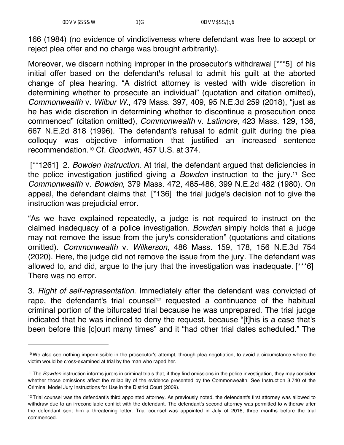166 (1984) (no evidence of vindictiveness where defendant was free to accept or reject plea offer and no charge was brought arbitrarily).

Moreover, we discern nothing improper in the prosecutor's withdrawal [\*\*\*5] of his initial offer based on the defendant's refusal to admit his guilt at the aborted change of plea hearing. "A district attorney is vested with wide discretion in determining whether to prosecute an individual" (quotation and citation omitted), *Commonwealth* v. *Wilbur W.*, 479 Mass. 397, 409, 95 N.E.3d 259 (2018), "just as he has wide discretion in determining whether to discontinue a prosecution once commenced" (citation omitted), *Commonwealth* v. *Latimore*, 423 Mass. 129, 136, 667 N.E.2d 818 (1996). The defendant's refusal to admit guilt during the plea colloquy was objective information that justified an increased sentence recommendation.10 Cf. *Goodwin*, 457 U.S. at 374.

 [\*\*1261] 2. *Bowden instruction*. At trial, the defendant argued that deficiencies in the police investigation justified giving a *Bowden* instruction to the jury.11 See *Commonwealth* v. *Bowden*, 379 Mass. 472, 485-486, 399 N.E.2d 482 (1980). On appeal, the defendant claims that [\*136] the trial judge's decision not to give the instruction was prejudicial error.

"As we have explained repeatedly, a judge is not required to instruct on the claimed inadequacy of a police investigation. *Bowden* simply holds that a judge may not remove the issue from the jury's consideration" (quotations and citations omitted). *Commonwealth* v. *Wilkerson*, 486 Mass. 159, 178, 156 N.E.3d 754 (2020). Here, the judge did not remove the issue from the jury. The defendant was allowed to, and did, argue to the jury that the investigation was inadequate. [\*\*\*6] There was no error.

3. *Right of self-representation*. Immediately after the defendant was convicted of rape, the defendant's trial counsel<sup>12</sup> requested a continuance of the habitual criminal portion of the bifurcated trial because he was unprepared. The trial judge indicated that he was inclined to deny the request, because "[t]his is a case that's been before this [c]ourt many times" and it "had other trial dates scheduled." The

<sup>&</sup>lt;sup>10</sup> We also see nothing impermissible in the prosecutor's attempt, through plea negotiation, to avoid a circumstance where the victim would be cross-examined at trial by the man who raped her.

<sup>11</sup> The *Bowden* instruction informs jurors in criminal trials that, if they find omissions in the police investigation, they may consider whether those omissions affect the reliability of the evidence presented by the Commonwealth. See Instruction 3.740 of the Criminal Model Jury Instructions for Use in the District Court (2009).

 $12$  Trial counsel was the defendant's third appointed attorney. As previously noted, the defendant's first attorney was allowed to withdraw due to an irreconcilable conflict with the defendant. The defendant's second attorney was permitted to withdraw after the defendant sent him a threatening letter. Trial counsel was appointed in July of 2016, three months before the trial commenced.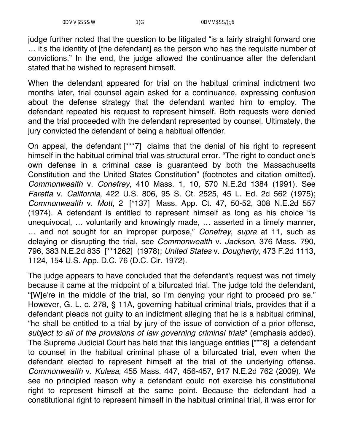judge further noted that the question to be litigated "is a fairly straight forward one … it's the identity of [the defendant] as the person who has the requisite number of convictions." In the end, the judge allowed the continuance after the defendant stated that he wished to represent himself.

When the defendant appeared for trial on the habitual criminal indictment two months later, trial counsel again asked for a continuance, expressing confusion about the defense strategy that the defendant wanted him to employ. The defendant repeated his request to represent himself. Both requests were denied and the trial proceeded with the defendant represented by counsel. Ultimately, the jury convicted the defendant of being a habitual offender.

On appeal, the defendant [\*\*\*7] claims that the denial of his right to represent himself in the habitual criminal trial was structural error. "The right to conduct one's own defense in a criminal case is guaranteed by both the Massachusetts Constitution and the United States Constitution" (footnotes and citation omitted). *Commonwealth* v. *Conefrey*, 410 Mass. 1, 10, 570 N.E.2d 1384 (1991). See *Faretta* v. *California*, 422 U.S. 806, 95 S. Ct. 2525, 45 L. Ed. 2d 562 (1975); *Commonwealth* v. *Mott*, 2 [\*137] Mass. App. Ct. 47, 50-52, 308 N.E.2d 557 (1974). A defendant is entitled to represent himself as long as his choice "is unequivocal, … voluntarily and knowingly made, … asserted in a timely manner, … and not sought for an improper purpose," *Conefrey*, *supra* at 11, such as delaying or disrupting the trial, see *Commonwealth* v. *Jackson*, 376 Mass. 790, 796, 383 N.E.2d 835 [\*\*1262] (1978); *United States* v. *Dougherty*, 473 F.2d 1113, 1124, 154 U.S. App. D.C. 76 (D.C. Cir. 1972).

The judge appears to have concluded that the defendant's request was not timely because it came at the midpoint of a bifurcated trial. The judge told the defendant, "[W]e're in the middle of the trial, so I'm denying your right to proceed pro se." However, G. L. c. 278, § 11A, governing habitual criminal trials, provides that if a defendant pleads not guilty to an indictment alleging that he is a habitual criminal, "he shall be entitled to a trial by jury of the issue of conviction of a prior offense, *subject to all of the provisions of law governing criminal trials*" (emphasis added). The Supreme Judicial Court has held that this language entitles [\*\*\*8] a defendant to counsel in the habitual criminal phase of a bifurcated trial, even when the defendant elected to represent himself at the trial of the underlying offense. *Commonwealth* v. *Kulesa*, 455 Mass. 447, 456-457, 917 N.E.2d 762 (2009). We see no principled reason why a defendant could not exercise his constitutional right to represent himself at the same point. Because the defendant had a constitutional right to represent himself in the habitual criminal trial, it was error for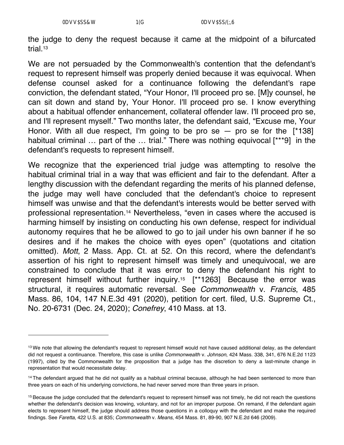the judge to deny the request because it came at the midpoint of a bifurcated trial.13

We are not persuaded by the Commonwealth's contention that the defendant's request to represent himself was properly denied because it was equivocal. When defense counsel asked for a continuance following the defendant's rape conviction, the defendant stated, "Your Honor, I'll proceed pro se. [M]y counsel, he can sit down and stand by, Your Honor. I'll proceed pro se. I know everything about a habitual offender enhancement, collateral offender law. I'll proceed pro se, and I'll represent myself." Two months later, the defendant said, "Excuse me, Your Honor. With all due respect, I'm going to be pro  $se - pro se$  for the  $[*138]$ habitual criminal ... part of the ... trial." There was nothing equivocal [\*\*\*9] in the defendant's requests to represent himself.

We recognize that the experienced trial judge was attempting to resolve the habitual criminal trial in a way that was efficient and fair to the defendant. After a lengthy discussion with the defendant regarding the merits of his planned defense, the judge may well have concluded that the defendant's choice to represent himself was unwise and that the defendant's interests would be better served with professional representation.14 Nevertheless, "even in cases where the accused is harming himself by insisting on conducting his own defense, respect for individual autonomy requires that he be allowed to go to jail under his own banner if he so desires and if he makes the choice with eyes open" (quotations and citation omitted). *Mott*, 2 Mass. App. Ct. at 52. On this record, where the defendant's assertion of his right to represent himself was timely and unequivocal, we are constrained to conclude that it was error to deny the defendant his right to represent himself without further inquiry.15 [\*\*1263] Because the error was structural, it requires automatic reversal. See *Commonwealth* v. *Francis*, 485 Mass. 86, 104, 147 N.E.3d 491 (2020), petition for cert. filed, U.S. Supreme Ct., No. 20-6731 (Dec. 24, 2020); *Conefrey*, 410 Mass. at 13.

<sup>&</sup>lt;sup>13</sup> We note that allowing the defendant's request to represent himself would not have caused additional delay, as the defendant did not request a continuance. Therefore, this case is unlike *Commonwealth* v. *Johnson*, 424 Mass. 338, 341, 676 N.E.2d 1123 (1997), cited by the Commonwealth for the proposition that a judge has the discretion to deny a last-minute change in representation that would necessitate delay.

<sup>&</sup>lt;sup>14</sup> The defendant argued that he did not qualify as a habitual criminal because, although he had been sentenced to more than three years on each of his underlying convictions, he had never served more than three years in prison.

<sup>&</sup>lt;sup>15</sup> Because the judge concluded that the defendant's request to represent himself was not timely, he did not reach the questions whether the defendant's decision was knowing, voluntary, and not for an improper purpose. On remand, if the defendant again elects to represent himself, the judge should address those questions in a colloquy with the defendant and make the required findings. See *Faretta*, 422 U.S. at 835; *Commonwealth* v. *Means*, 454 Mass. 81, 89-90, 907 N.E.2d 646 (2009).